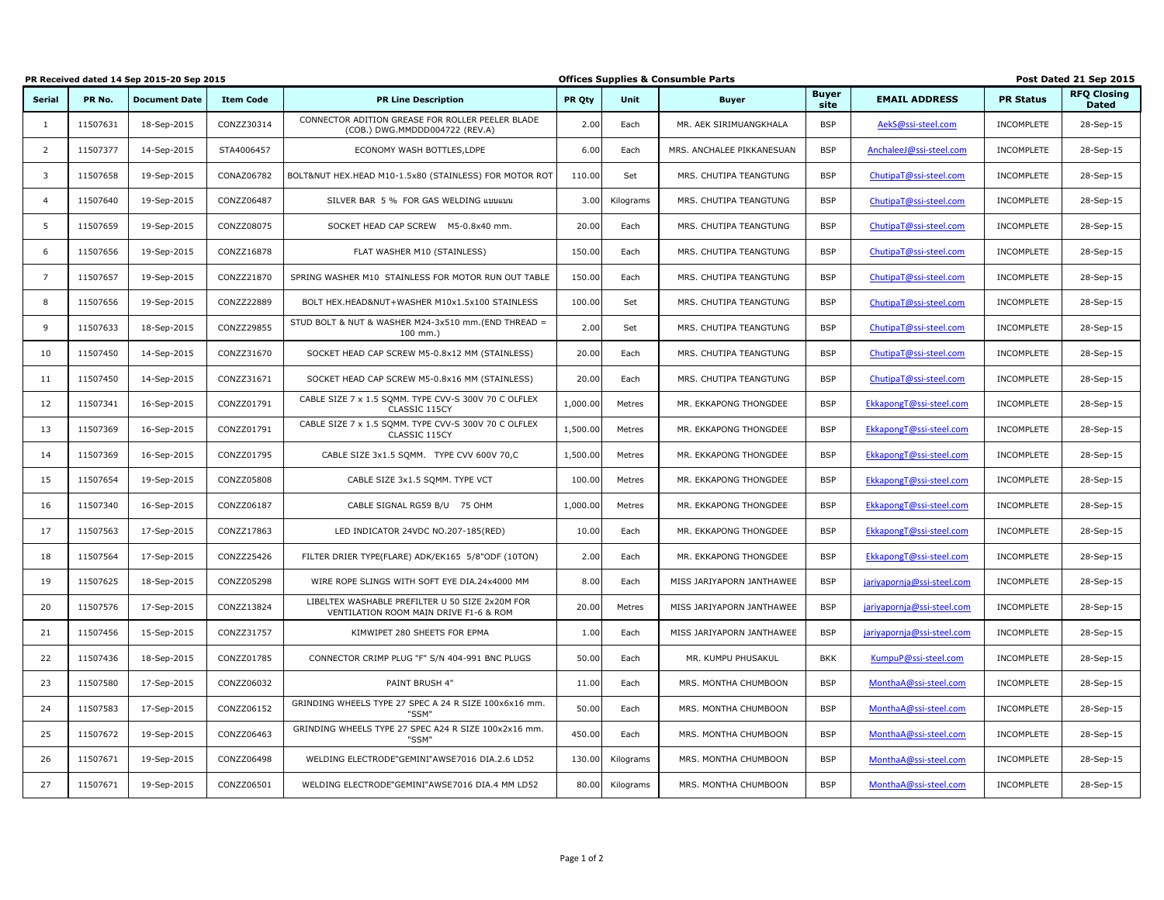|                |          | PR Received dated 14 Sep 2015-20 Sep 2015 |                  |                                                                                           | <b>Offices Supplies &amp; Consumble Parts</b> |           |                           |                      |                            | Post Dated 21 Sep 2015 |                                    |  |
|----------------|----------|-------------------------------------------|------------------|-------------------------------------------------------------------------------------------|-----------------------------------------------|-----------|---------------------------|----------------------|----------------------------|------------------------|------------------------------------|--|
| <b>Serial</b>  | PR No.   | <b>Document Date</b>                      | <b>Item Code</b> | <b>PR Line Description</b>                                                                | PR Qty                                        | Unit      | <b>Buyer</b>              | <b>Buyer</b><br>site | <b>EMAIL ADDRESS</b>       | <b>PR Status</b>       | <b>RFQ Closing</b><br><b>Dated</b> |  |
| 1              | 11507631 | 18-Sep-2015                               | CONZZ30314       | CONNECTOR ADITION GREASE FOR ROLLER PEELER BLADE<br>(COB.) DWG.MMDDD004722 (REV.A)        | 2.00                                          | Each      | MR. AEK SIRIMUANGKHALA    | <b>BSP</b>           | AekS@ssi-steel.com         | INCOMPLETE             | 28-Sep-15                          |  |
| $\overline{2}$ | 11507377 | 14-Sep-2015                               | STA4006457       | ECONOMY WASH BOTTLES, LDPE                                                                | 6.00                                          | Each      | MRS. ANCHALEE PIKKANESUAN | <b>BSP</b>           | AnchaleeJ@ssi-steel.com    | INCOMPLETE             | 28-Sep-15                          |  |
| 3              | 11507658 | 19-Sep-2015                               | CONAZ06782       | BOLT&NUT HEX.HEAD M10-1.5x80 (STAINLESS) FOR MOTOR ROT                                    | 110.00                                        | Set       | MRS. CHUTIPA TEANGTUNG    | <b>BSP</b>           | ChutipaT@ssi-steel.com     | INCOMPLETE             | 28-Sep-15                          |  |
| $\overline{4}$ | 11507640 | 19-Sep-2015                               | CONZZ06487       | SILVER BAR 5 % FOR GAS WELDING แบบแบน                                                     | 3.00                                          | Kilograms | MRS. CHUTIPA TEANGTUNG    | <b>BSP</b>           | ChutipaT@ssi-steel.com     | INCOMPLETE             | 28-Sep-15                          |  |
| 5              | 11507659 | 19-Sep-2015                               | CONZZ08075       | SOCKET HEAD CAP SCREW M5-0.8x40 mm.                                                       | 20.00                                         | Each      | MRS. CHUTIPA TEANGTUNG    | <b>BSP</b>           | ChutipaT@ssi-steel.com     | INCOMPLETE             | 28-Sep-15                          |  |
| 6              | 11507656 | 19-Sep-2015                               | CONZZ16878       | FLAT WASHER M10 (STAINLESS)                                                               | 150.00                                        | Each      | MRS. CHUTIPA TEANGTUNG    | <b>BSP</b>           | ChutipaT@ssi-steel.com     | INCOMPLETE             | 28-Sep-15                          |  |
| $\overline{7}$ | 11507657 | 19-Sep-2015                               | CONZZ21870       | SPRING WASHER M10 STAINLESS FOR MOTOR RUN OUT TABLE                                       | 150.00                                        | Each      | MRS. CHUTIPA TEANGTUNG    | <b>BSP</b>           | ChutipaT@ssi-steel.com     | INCOMPLETE             | 28-Sep-15                          |  |
| 8              | 11507656 | 19-Sep-2015                               | CONZZ22889       | BOLT HEX.HEAD&NUT+WASHER M10x1.5x100 STAINLESS                                            | 100.00                                        | Set       | MRS. CHUTIPA TEANGTUNG    | <b>BSP</b>           | ChutipaT@ssi-steel.com     | INCOMPLETE             | 28-Sep-15                          |  |
| 9              | 11507633 | 18-Sep-2015                               | CONZZ29855       | STUD BOLT & NUT & WASHER M24-3x510 mm.(END THREAD =<br>$100$ mm.)                         | 2.00                                          | Set       | MRS. CHUTIPA TEANGTUNG    | <b>BSP</b>           | ChutipaT@ssi-steel.com     | INCOMPLETE             | 28-Sep-15                          |  |
| 10             | 11507450 | 14-Sep-2015                               | CONZZ31670       | SOCKET HEAD CAP SCREW M5-0.8x12 MM (STAINLESS)                                            | 20.00                                         | Each      | MRS. CHUTIPA TEANGTUNG    | <b>BSP</b>           | ChutipaT@ssi-steel.com     | INCOMPLETE             | 28-Sep-15                          |  |
| 11             | 11507450 | 14-Sep-2015                               | CONZZ31671       | SOCKET HEAD CAP SCREW M5-0.8x16 MM (STAINLESS)                                            | 20.00                                         | Each      | MRS. CHUTIPA TEANGTUNG    | <b>BSP</b>           | ChutipaT@ssi-steel.com     | INCOMPLETE             | 28-Sep-15                          |  |
| 12             | 11507341 | 16-Sep-2015                               | CONZZ01791       | CABLE SIZE 7 x 1.5 SQMM. TYPE CVV-S 300V 70 C OLFLEX<br>CLASSIC 115CY                     | 1,000.00                                      | Metres    | MR. EKKAPONG THONGDEE     | <b>BSP</b>           | EkkapongT@ssi-steel.com    | INCOMPLETE             | 28-Sep-15                          |  |
| 13             | 11507369 | 16-Sep-2015                               | CONZZ01791       | CABLE SIZE 7 x 1.5 SQMM. TYPE CVV-S 300V 70 C OLFLEX<br>CLASSIC 115CY                     | 1,500.00                                      | Metres    | MR. EKKAPONG THONGDEE     | <b>BSP</b>           | EkkapongT@ssi-steel.com    | INCOMPLETE             | 28-Sep-15                          |  |
| 14             | 11507369 | 16-Sep-2015                               | CONZZ01795       | CABLE SIZE 3x1.5 SQMM. TYPE CVV 600V 70,C                                                 | 1,500.00                                      | Metres    | MR. EKKAPONG THONGDEE     | <b>BSP</b>           | EkkapongT@ssi-steel.com    | INCOMPLETE             | 28-Sep-15                          |  |
| 15             | 11507654 | 19-Sep-2015                               | CONZZ05808       | CABLE SIZE 3x1.5 SOMM. TYPE VCT                                                           | 100.00                                        | Metres    | MR. EKKAPONG THONGDEE     | <b>BSP</b>           | EkkapongT@ssi-steel.com    | INCOMPLETE             | 28-Sep-15                          |  |
| 16             | 11507340 | 16-Sep-2015                               | CONZZ06187       | CABLE SIGNAL RG59 B/U 75 OHM                                                              | 1,000.00                                      | Metres    | MR. EKKAPONG THONGDEE     | <b>BSP</b>           | EkkapongT@ssi-steel.com    | INCOMPLETE             | 28-Sep-15                          |  |
| 17             | 11507563 | 17-Sep-2015                               | CONZZ17863       | LED INDICATOR 24VDC NO.207-185(RED)                                                       | 10.00                                         | Each      | MR. EKKAPONG THONGDEE     | <b>BSP</b>           | EkkapongT@ssi-steel.com    | INCOMPLETE             | 28-Sep-15                          |  |
| 18             | 11507564 | 17-Sep-2015                               | CONZZ25426       | FILTER DRIER TYPE(FLARE) ADK/EK165 5/8"ODF (10TON)                                        | 2.00                                          | Each      | MR. EKKAPONG THONGDEE     | <b>BSP</b>           | EkkapongT@ssi-steel.com    | INCOMPLETE             | 28-Sep-15                          |  |
| 19             | 11507625 | 18-Sep-2015                               | CONZZ05298       | WIRE ROPE SLINGS WITH SOFT EYE DIA.24x4000 MM                                             | 8.00                                          | Each      | MISS JARIYAPORN JANTHAWEE | <b>BSP</b>           | jariyapornja@ssi-steel.com | INCOMPLETE             | 28-Sep-15                          |  |
| 20             | 11507576 | 17-Sep-2015                               | CONZZ13824       | LIBELTEX WASHABLE PREFILTER U 50 SIZE 2x20M FOR<br>VENTILATION ROOM MAIN DRIVE F1-6 & ROM | 20.00                                         | Metres    | MISS JARIYAPORN JANTHAWEE | <b>BSP</b>           | jariyapornja@ssi-steel.com | INCOMPLETE             | 28-Sep-15                          |  |
| 21             | 11507456 | 15-Sep-2015                               | CONZZ31757       | KIMWIPET 280 SHEETS FOR EPMA                                                              | 1.00                                          | Each      | MISS JARIYAPORN JANTHAWEE | <b>BSP</b>           | jariyapornja@ssi-steel.com | INCOMPLETE             | 28-Sep-15                          |  |
| 22             | 11507436 | 18-Sep-2015                               | CONZZ01785       | CONNECTOR CRIMP PLUG "F" S/N 404-991 BNC PLUGS                                            | 50.00                                         | Each      | MR. KUMPU PHUSAKUL        | <b>BKK</b>           | KumpuP@ssi-steel.com       | INCOMPLETE             | 28-Sep-15                          |  |
| 23             | 11507580 | 17-Sep-2015                               | CONZZ06032       | PAINT BRUSH 4"                                                                            | 11.00                                         | Each      | MRS. MONTHA CHUMBOON      | <b>BSP</b>           | MonthaA@ssi-steel.com      | INCOMPLETE             | 28-Sep-15                          |  |
| 24             | 11507583 | 17-Sep-2015                               | CONZZ06152       | GRINDING WHEELS TYPE 27 SPEC A 24 R SIZE 100x6x16 mm.<br>"SSM'                            | 50.00                                         | Each      | MRS. MONTHA CHUMBOON      | <b>BSP</b>           | MonthaA@ssi-steel.com      | INCOMPLETE             | 28-Sep-15                          |  |
| 25             | 11507672 | 19-Sep-2015                               | CONZZ06463       | GRINDING WHEELS TYPE 27 SPEC A24 R SIZE 100x2x16 mm.<br>"SSM'                             | 450.00                                        | Each      | MRS. MONTHA CHUMBOON      | <b>BSP</b>           | MonthaA@ssi-steel.com      | INCOMPLETE             | 28-Sep-15                          |  |
| 26             | 11507671 | 19-Sep-2015                               | CONZZ06498       | WELDING ELECTRODE"GEMINI"AWSE7016 DIA.2.6 LD52                                            | 130.00                                        | Kilograms | MRS. MONTHA CHUMBOON      | <b>BSP</b>           | MonthaA@ssi-steel.com      | INCOMPLETE             | 28-Sep-15                          |  |
| 27             | 11507671 | 19-Sep-2015                               | CONZZ06501       | WELDING ELECTRODE"GEMINI"AWSE7016 DIA.4 MM LD52                                           | 80.00                                         | Kilograms | MRS. MONTHA CHUMBOON      | <b>BSP</b>           | MonthaA@ssi-steel.com      | INCOMPLETE             | 28-Sep-15                          |  |